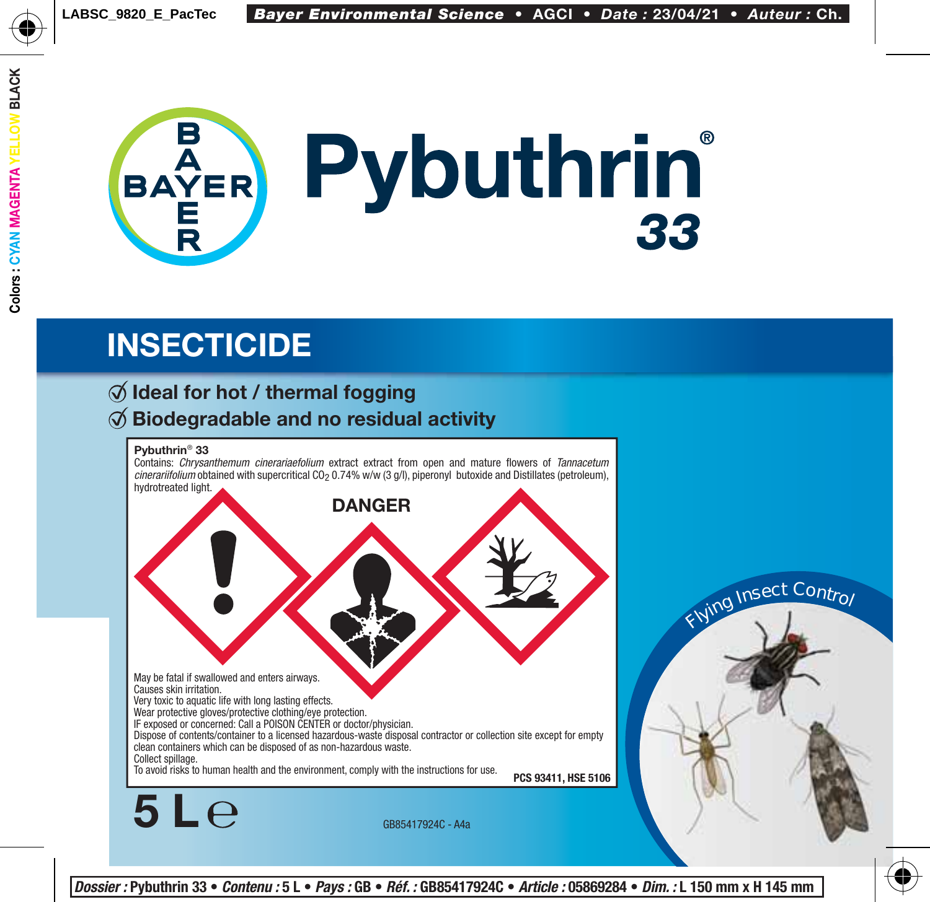

### **INSECTICIDE**

### **Ideal for hot / thermal fogging Biodegradable and no residual activity**

#### **Pybuthrin**® **33**

**5 L**

Contains: *Chrysanthemum cinerariaefolium* extract extract from open and mature flowers of *Tannacetum cinerariifolium* obtained with supercritical CO<sub>2</sub> 0.74% w/w (3 g/l), piperonyl butoxide and Distillates (petroleum), hydrotreated light.





GB85417924C - A4a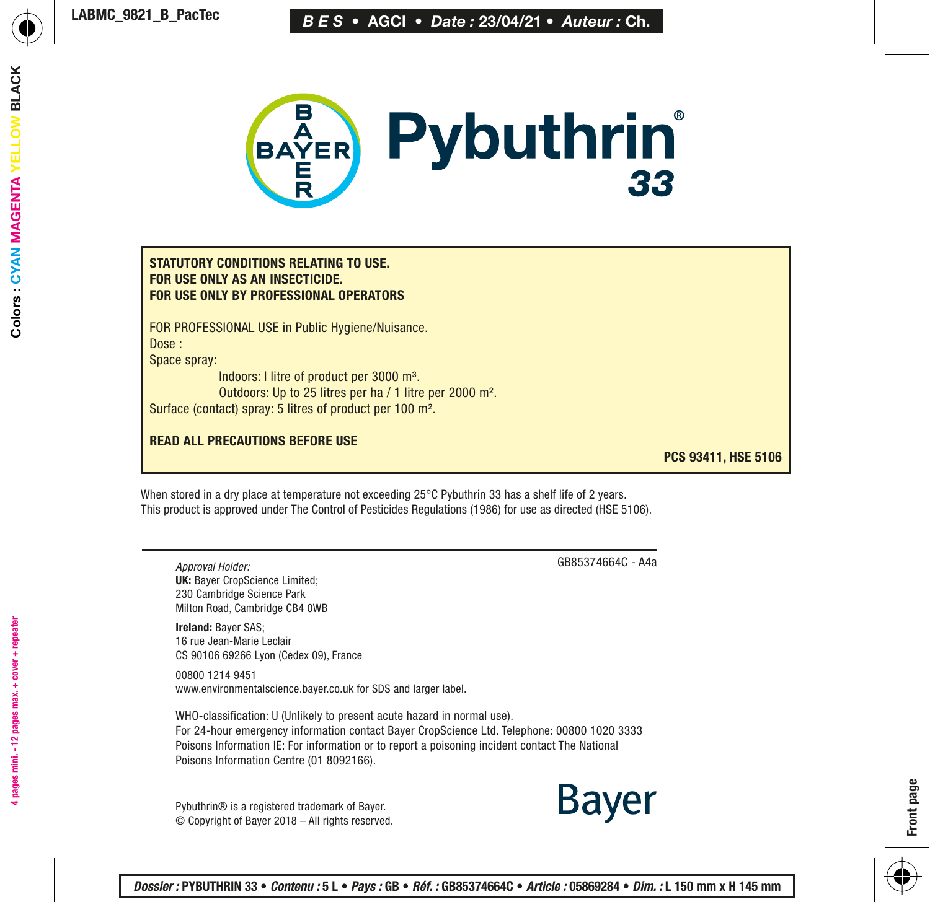

#### STATUTORY CONDITIONS RELATING TO USE. FOR USE ONLY AS AN INSECTICIDE. FOR USE ONLY BY PROFESSIONAL OPERATORS

FOR PROFESSIONAL USE in Public Hygiene/Nuisance. Dose :

Space spray:

Indoors: l litre of product per 3000 m³. Outdoors: Up to 25 litres per ha / 1 litre per 2000 m². Surface (contact) spray: 5 litres of product per 100 m².

#### READ ALL PRECAUTIONS BEFORE USE

PCS 93411, HSE 5106

When stored in a dry place at temperature not exceeding 25°C Pybuthrin 33 has a shelf life of 2 years. This product is approved under The Control of Pesticides Regulations (1986) for use as directed (HSE 5106).

*Approval Holder:* UK: Bayer CropScience Limited; 230 Cambridge Science Park Milton Road, Cambridge CB4 0WB

Ireland: Bayer SAS; 16 rue Jean-Marie Leclair CS 90106 69266 Lyon (Cedex 09), France

00800 1214 9451 www.environmentalscience.bayer.co.uk for SDS and larger label.

WHO-classification: U (Unlikely to present acute hazard in normal use). For 24-hour emergency information contact Bayer CropScience Ltd. Telephone: 00800 1020 3333 Poisons Information IE: For information or to report a poisoning incident contact The National Poisons Information Centre (01 8092166).

Pybuthrin® is a registered trademark of Bayer. © Copyright of Bayer 2018 – All rights reserved. GB85374664C - A4a

Bayer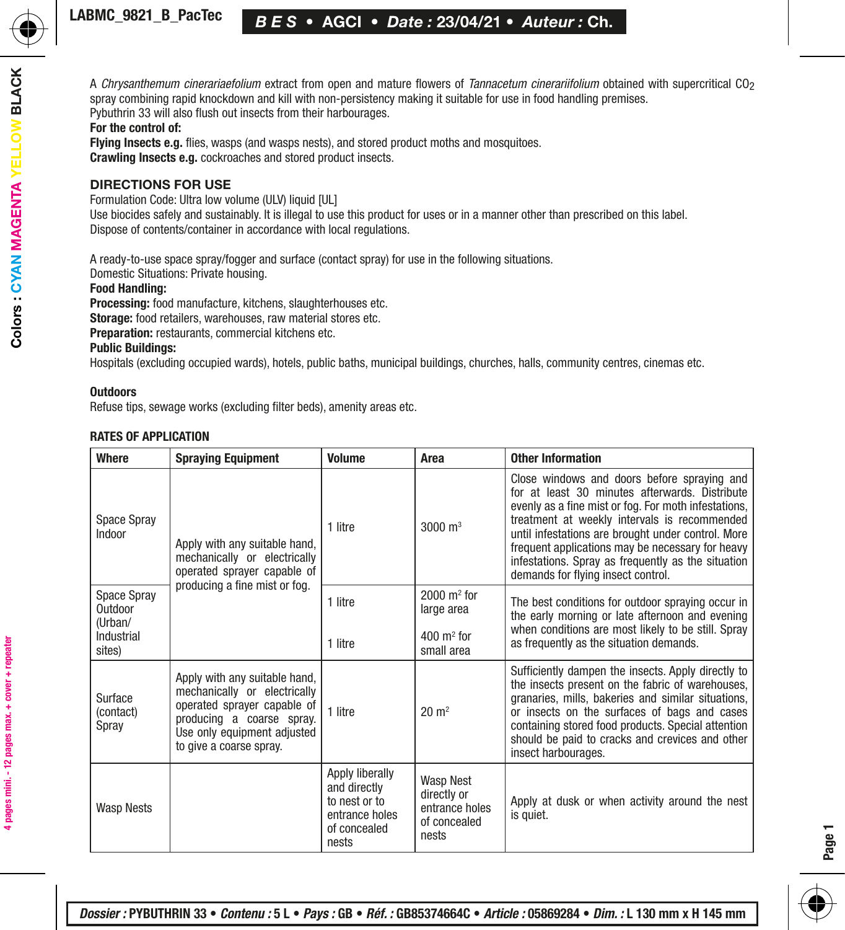A *Chrysanthemum cinerariaefolium* extract from open and mature flowers of *Tannacetum cinerariifolium* obtained with supercritical CO2 spray combining rapid knockdown and kill with non-persistency making it suitable for use in food handling premises. Pybuthrin 33 will also flush out insects from their harbourages.

#### For the control of:

**Flying Insects e.g.** flies, wasps (and wasps nests), and stored product moths and mosquitoes. Crawling Insects e.g. cockroaches and stored product insects.

#### DIRECTIONS FOR USE

Formulation Code: Ultra low volume (ULV) liquid [UL]

Use biocides safely and sustainably. It is illegal to use this product for uses or in a manner other than prescribed on this label. Dispose of contents/container in accordance with local regulations.

A ready-to-use space spray/fogger and surface (contact spray) for use in the following situations.

Domestic Situations: Private housing.

#### Food Handling:

Processing: food manufacture, kitchens, slaughterhouses etc.

Storage: food retailers, warehouses, raw material stores etc.

Preparation: restaurants, commercial kitchens etc.

#### Public Buildings:

Hospitals (excluding occupied wards), hotels, public baths, municipal buildings, churches, halls, community centres, cinemas etc.

#### **Outdoors**

Refuse tips, sewage works (excluding filter beds), amenity areas etc.

#### RATES OF APPLICATION

| <b>Where</b>                                    | <b>Spraying Equipment</b>                                                                                                                                                           | Volume                                                                                      | Area                                                                       | <b>Other Information</b>                                                                                                                                                                                                                                                                                                                                                                                    |
|-------------------------------------------------|-------------------------------------------------------------------------------------------------------------------------------------------------------------------------------------|---------------------------------------------------------------------------------------------|----------------------------------------------------------------------------|-------------------------------------------------------------------------------------------------------------------------------------------------------------------------------------------------------------------------------------------------------------------------------------------------------------------------------------------------------------------------------------------------------------|
| Space Spray<br>Indoor                           | Apply with any suitable hand,<br>mechanically or electrically<br>operated sprayer capable of<br>producing a fine mist or fog.                                                       | 1 litre                                                                                     | $3000 \; \text{m}^3$                                                       | Close windows and doors before spraying and<br>for at least 30 minutes afterwards. Distribute<br>evenly as a fine mist or fog. For moth infestations,<br>treatment at weekly intervals is recommended<br>until infestations are brought under control. More<br>frequent applications may be necessary for heavy<br>infestations. Spray as frequently as the situation<br>demands for flying insect control. |
| Space Spray<br>Outdoor<br>(Urban/<br>Industrial |                                                                                                                                                                                     | 1 litre                                                                                     | $2000 \text{ m}^2$ for<br>large area<br>$400 \text{ m}^2$ for              | The best conditions for outdoor spraying occur in<br>the early morning or late afternoon and evening<br>when conditions are most likely to be still. Spray<br>as frequently as the situation demands.                                                                                                                                                                                                       |
| sites)                                          |                                                                                                                                                                                     | 1 litre                                                                                     | small area                                                                 |                                                                                                                                                                                                                                                                                                                                                                                                             |
| Surface<br>(contact)<br>Spray                   | Apply with any suitable hand,<br>mechanically or electrically<br>operated sprayer capable of<br>producing a coarse spray.<br>Use only equipment adjusted<br>to give a coarse spray. | 1 litre                                                                                     | $20 \text{ m}^2$                                                           | Sufficiently dampen the insects. Apply directly to<br>the insects present on the fabric of warehouses,<br>granaries, mills, bakeries and similar situations,<br>or insects on the surfaces of bags and cases<br>containing stored food products. Special attention<br>should be paid to cracks and crevices and other<br>insect harbourages.                                                                |
| <b>Wasp Nests</b>                               |                                                                                                                                                                                     | Apply liberally<br>and directly<br>to nest or to<br>entrance holes<br>of concealed<br>nests | <b>Wasp Nest</b><br>directly or<br>entrance holes<br>of concealed<br>nests | Apply at dusk or when activity around the nest<br>is quiet.                                                                                                                                                                                                                                                                                                                                                 |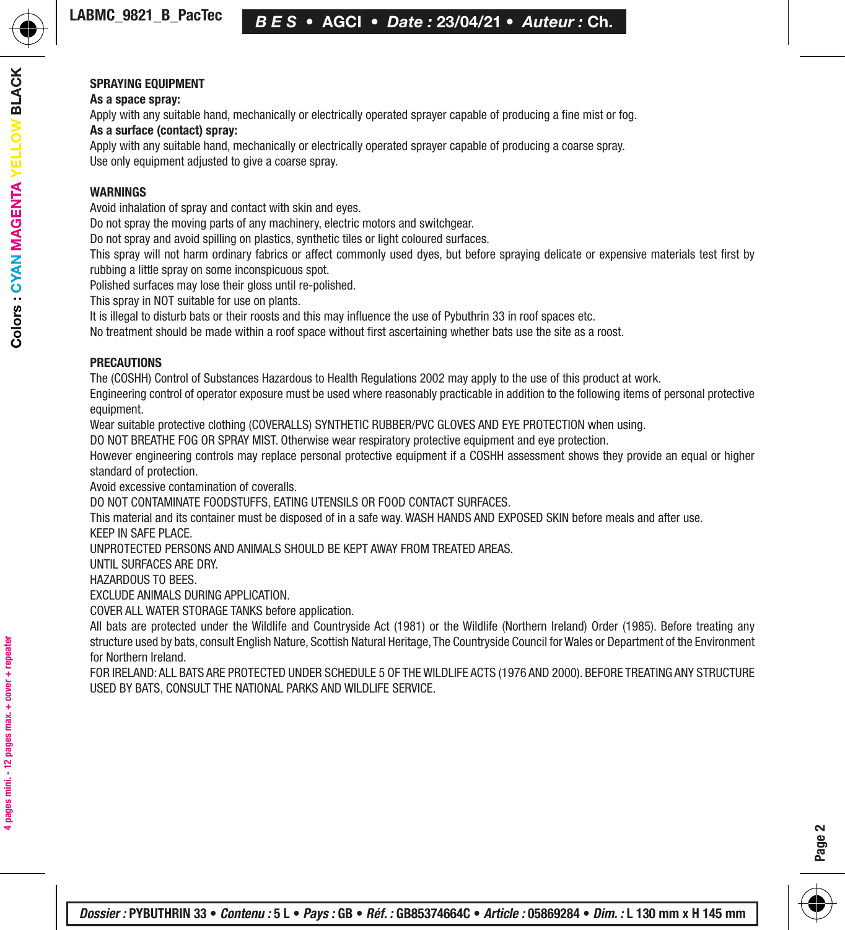#### SPRAYING EQUIPMENT

#### As a space spray:

Apply with any suitable hand, mechanically or electrically operated sprayer capable of producing a fine mist or fog.

#### As a surface (contact) spray:

Apply with any suitable hand, mechanically or electrically operated sprayer capable of producing a coarse spray. Use only equipment adjusted to give a coarse spray.

#### WARNINGS

Avoid inhalation of spray and contact with skin and eyes.

Do not spray the moving parts of any machinery, electric motors and switchgear.

Do not spray and avoid spilling on plastics, synthetic tiles or light coloured surfaces.

This spray will not harm ordinary fabrics or affect commonly used dyes, but before spraying delicate or expensive materials test first by rubbing a little spray on some inconspicuous spot.

Polished surfaces may lose their gloss until re-polished.

This spray in NOT suitable for use on plants.

It is illegal to disturb bats or their roosts and this may influence the use of Pybuthrin 33 in roof spaces etc.

No treatment should be made within a roof space without first ascertaining whether bats use the site as a roost.

#### PRECAUTIONS

The (COSHH) Control of Substances Hazardous to Health Regulations 2002 may apply to the use of this product at work.

Engineering control of operator exposure must be used where reasonably practicable in addition to the following items of personal protective equipment.

Wear suitable protective clothing (COVERALLS) SYNTHETIC RUBBER/PVC GLOVES AND EYE PROTECTION when using.

DO NOT BREATHE FOG OR SPRAY MIST. Otherwise wear respiratory protective equipment and eye protection.

However engineering controls may replace personal protective equipment if a COSHH assessment shows they provide an equal or higher standard of protection.

Avoid excessive contamination of coveralls.

DO NOT CONTAMINATE FOODSTUFFS, EATING UTENSILS OR FOOD CONTACT SURFACES.

This material and its container must be disposed of in a safe way. WASH HANDS AND EXPOSED SKIN before meals and after use. KEEP IN SAFE PLACE.

UNPROTECTED PERSONS AND ANIMALS SHOULD BE KEPT AWAY FROM TREATED AREAS.

UNTIL SURFACES ARE DRY.

HAZARDOUS TO BEES.

EXCLUDE ANIMALS DURING APPLICATION.

COVER ALL WATER STORAGE TANKS before application.

All bats are protected under the Wildlife and Countryside Act (1981) or the Wildlife (Northern Ireland) Order (1985). Before treating any structure used by bats, consult English Nature, Scottish Natural Heritage, The Countryside Council for Wales or Department of the Environment for Northern Ireland.

FOR IRELAND: ALL BATS ARE PROTECTED UNDER SCHEDULE 5 OF THE WILDLIFE ACTS (1976 AND 2000). BEFORE TREATING ANY STRUCTURE USED BY BATS, CONSULT THE NATIONAL PARKS AND WILDLIFE SERVICE.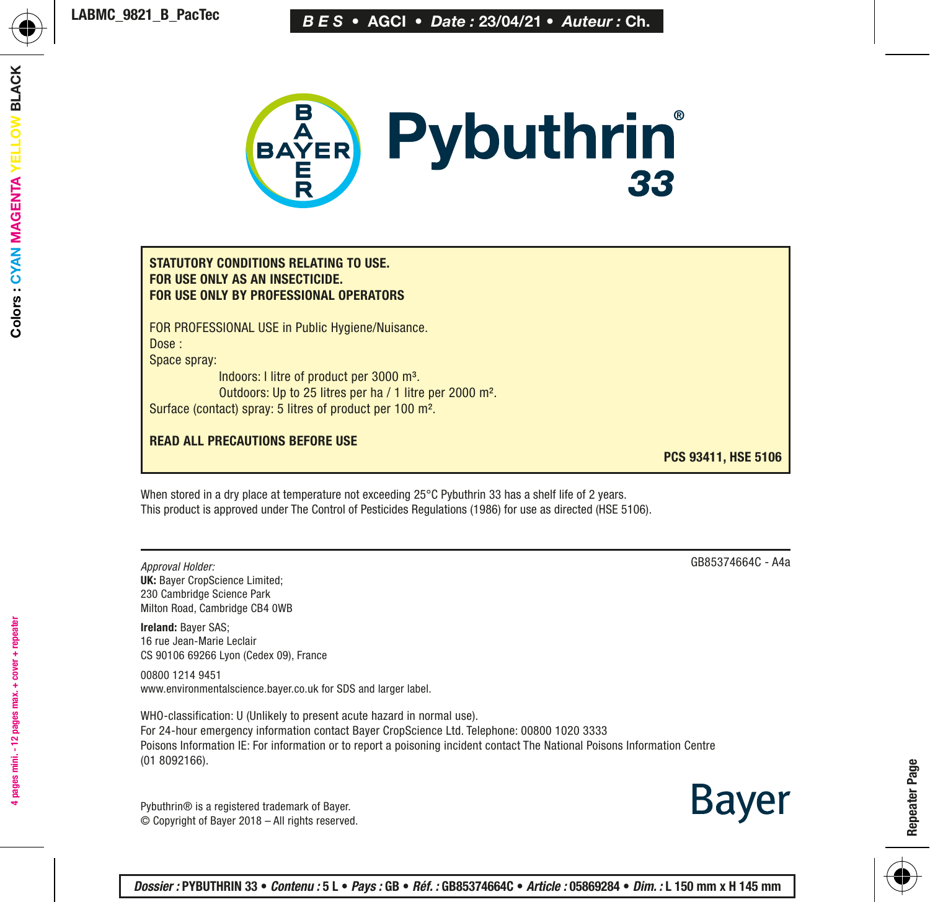

#### STATUTORY CONDITIONS RELATING TO USE. FOR USE ONLY AS AN INSECTICIDE. FOR USE ONLY BY PROFESSIONAL OPERATORS

FOR PROFESSIONAL USE in Public Hygiene/Nuisance. Dose :

Space spray:

Indoors: l litre of product per 3000 m³. Outdoors: Up to 25 litres per ha / 1 litre per 2000 m². Surface (contact) spray: 5 litres of product per 100 m².

#### READ ALL PRECAUTIONS BEFORE USE

PCS 93411, HSE 5106

When stored in a dry place at temperature not exceeding 25°C Pybuthrin 33 has a shelf life of 2 years. This product is approved under The Control of Pesticides Regulations (1986) for use as directed (HSE 5106).

*Approval Holder:* UK: Bayer CropScience Limited; 230 Cambridge Science Park Milton Road, Cambridge CB4 0WB

Ireland: Bayer SAS; 16 rue Jean-Marie Leclair CS 90106 69266 Lyon (Cedex 09), France

00800 1214 9451 www.environmentalscience.bayer.co.uk for SDS and larger label.

WHO-classification: U (Unlikely to present acute hazard in normal use). For 24-hour emergency information contact Bayer CropScience Ltd. Telephone: 00800 1020 3333 Poisons Information IE: For information or to report a poisoning incident contact The National Poisons Information Centre (01 8092166).

GB85374664C - A4a